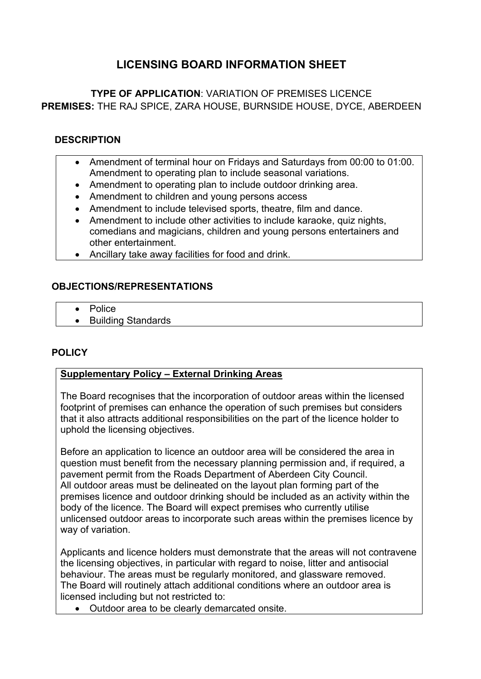# **LICENSING BOARD INFORMATION SHEET**

**TYPE OF APPLICATION**: VARIATION OF PREMISES LICENCE **PREMISES:** THE RAJ SPICE, ZARA HOUSE, BURNSIDE HOUSE, DYCE, ABERDEEN

### **DESCRIPTION**

- Amendment of terminal hour on Fridays and Saturdays from 00:00 to 01:00. Amendment to operating plan to include seasonal variations.
- Amendment to operating plan to include outdoor drinking area.
- Amendment to children and young persons access
- Amendment to include televised sports, theatre, film and dance.
- Amendment to include other activities to include karaoke, quiz nights, comedians and magicians, children and young persons entertainers and other entertainment.
- Ancillary take away facilities for food and drink.

### **OBJECTIONS/REPRESENTATIONS**

- Police
- Building Standards

## **POLICY**

### **Supplementary Policy – External Drinking Areas**

The Board recognises that the incorporation of outdoor areas within the licensed footprint of premises can enhance the operation of such premises but considers that it also attracts additional responsibilities on the part of the licence holder to uphold the licensing objectives.

Before an application to licence an outdoor area will be considered the area in question must benefit from the necessary planning permission and, if required, a pavement permit from the Roads Department of Aberdeen City Council. All outdoor areas must be delineated on the layout plan forming part of the premises licence and outdoor drinking should be included as an activity within the body of the licence. The Board will expect premises who currently utilise unlicensed outdoor areas to incorporate such areas within the premises licence by way of variation.

Applicants and licence holders must demonstrate that the areas will not contravene the licensing objectives, in particular with regard to noise, litter and antisocial behaviour. The areas must be regularly monitored, and glassware removed. The Board will routinely attach additional conditions where an outdoor area is licensed including but not restricted to:

Outdoor area to be clearly demarcated onsite.